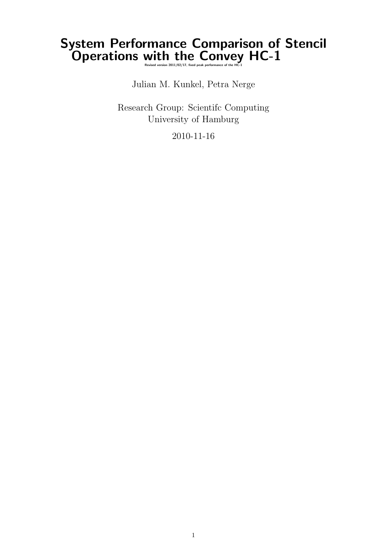# System Performance Comparison of Stencil Operations with the Convey HC-1

Julian M. Kunkel, Petra Nerge

Research Group: Scientifc Computing University of Hamburg

2010-11-16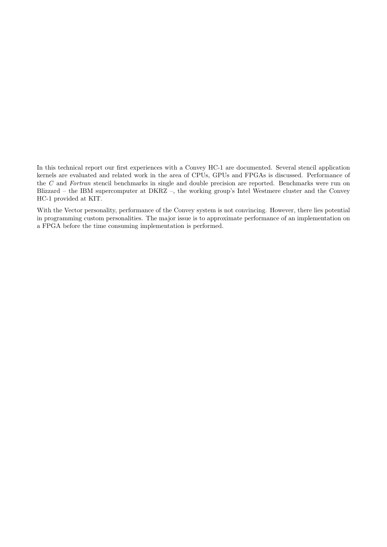In this technical report our first experiences with a Convey HC-1 are documented. Several stencil application kernels are evaluated and related work in the area of CPUs, GPUs and FPGAs is discussed. Performance of the C and Fortran stencil benchmarks in single and double precision are reported. Benchmarks were run on Blizzard – the IBM supercomputer at DKRZ –, the working group's Intel Westmere cluster and the Convey HC-1 provided at KIT.

With the Vector personality, performance of the Convey system is not convincing. However, there lies potential in programming custom personalities. The major issue is to approximate performance of an implementation on a FPGA before the time consuming implementation is performed.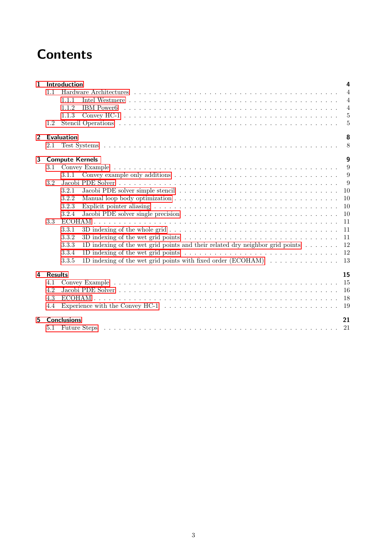# **Contents**

| $\mathbf{1}$   |                        | Introduction                                                                                                                       | 4              |  |  |
|----------------|------------------------|------------------------------------------------------------------------------------------------------------------------------------|----------------|--|--|
|                | 1.1                    |                                                                                                                                    | $\overline{4}$ |  |  |
|                |                        | 1.1.1                                                                                                                              | $\overline{4}$ |  |  |
|                |                        | 1.1.2                                                                                                                              | $\overline{4}$ |  |  |
|                |                        | 1.1.3                                                                                                                              | 5              |  |  |
|                | 1.2                    |                                                                                                                                    | 5              |  |  |
| $\overline{2}$ |                        | <b>Evaluation</b>                                                                                                                  | 8              |  |  |
|                | 2.1                    |                                                                                                                                    | 8              |  |  |
| 3              | <b>Compute Kernels</b> |                                                                                                                                    |                |  |  |
|                | 3.1                    | 9                                                                                                                                  |                |  |  |
|                |                        | 3.1.1                                                                                                                              | 9              |  |  |
|                | 3.2                    | 9                                                                                                                                  |                |  |  |
|                |                        | 10<br>3.2.1                                                                                                                        |                |  |  |
|                |                        | 3.2.2<br>10                                                                                                                        |                |  |  |
|                |                        | 10<br>3.2.3                                                                                                                        |                |  |  |
|                |                        | 3.2.4<br>10                                                                                                                        |                |  |  |
|                | 3.3                    | 11                                                                                                                                 |                |  |  |
|                |                        | 3D indexing of the whole grid $\ldots \ldots \ldots \ldots \ldots \ldots \ldots \ldots \ldots \ldots \ldots \ldots$<br>11<br>3.3.1 |                |  |  |
|                |                        | 3.3.2<br>11<br>3D indexing of the wet grid points $\ldots \ldots \ldots \ldots \ldots \ldots \ldots \ldots \ldots \ldots \ldots$   |                |  |  |
|                |                        | 1D indexing of the wet grid points and their related dry neighbor grid points $\dots \dots$<br>12<br>3.3.3                         |                |  |  |
|                |                        | 3.3.4<br>12                                                                                                                        |                |  |  |
|                |                        | 13<br>3.3.5                                                                                                                        |                |  |  |
| 4              | <b>Results</b>         | 15                                                                                                                                 |                |  |  |
|                | 4.1                    | 15                                                                                                                                 |                |  |  |
|                | 4.2                    | 16                                                                                                                                 |                |  |  |
|                | 4.3                    | 18                                                                                                                                 |                |  |  |
|                | 4.4                    | Experience with the Convey HC-1 $\dots \dots \dots \dots \dots \dots \dots \dots \dots \dots \dots \dots \dots \dots \dots$<br>19  |                |  |  |
| 5.             |                        | <b>Conclusions</b><br>21                                                                                                           |                |  |  |
|                | 5.1                    |                                                                                                                                    |                |  |  |
|                |                        |                                                                                                                                    |                |  |  |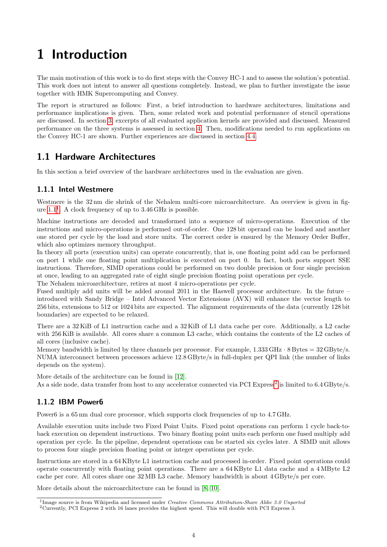# <span id="page-3-0"></span>1 Introduction

The main motivation of this work is to do first steps with the Convey HC-1 and to assess the solution's potential. This work does not intent to answer all questions completely. Instead, we plan to further investigate the issue together with HMK Supercomputing and Convey.

The report is structured as follows: First, a brief introduction to hardware architectures, limitations and performance implications is given. Then, some related work and potential performance of stencil operations are discussed. In section [3,](#page-8-0) excerpts of all evaluated application kernels are provided and discussed. Measured performance on the three systems is assessed in section [4.](#page-14-0) Then, modifications needed to run applications on the Convey HC-1 are shown. Further experiences are discussed in section [4.4.](#page-18-0)

## <span id="page-3-1"></span>1.1 Hardware Architectures

In this section a brief overview of the hardware architectures used in the evaluation are given.

#### <span id="page-3-2"></span>1.1.1 Intel Westmere

Westmere is the 32 nm die shrink of the Nehalem multi-core microarchitecture. An overview is given in figure  $1.1<sup>1</sup>$  $1.1<sup>1</sup>$ . A clock frequency of up to  $3.46$  GHz is possible.

Machine instructions are decoded and transformed into a sequence of micro-operations. Execution of the instructions and micro-operations is performed out-of-order. One 128 bit operand can be loaded and another one stored per cycle by the load and store units. The correct order is ensured by the Memory Order Buffer, which also optimizes memory throughput.

In theory all ports (execution units) can operate concurrently, that is, one floating point add can be performed on port 1 while one floating point multiplication is executed on port 0. In fact, both ports support SSE instructions. Therefore, SIMD operations could be performed on two double precision or four single precision at once, leading to an aggregated rate of eight single precision floating point operations per cycle.

The Nehalem microarchitecture, retires at most 4 micro-operations per cycle.

Fused multiply add units will be added around 2011 in the Haswell processor architecture. In the future – introduced with Sandy Bridge – Intel Advanced Vector Extensions (AVX) will enhance the vector length to 256 bits, extensions to 512 or 1024 bits are expected. The alignment requirements of the data (currently 128 bit boundaries) are expected to be relaxed.

There are a 32 KiB of L1 instruction cache and a 32 KiB of L1 data cache per core. Additionally, a L2 cache with 256 KiB is available. All cores share a common L3 cache, which contains the contents of the L2 caches of all cores (inclusive cache).

Memory bandwidth is limited by three channels per processor. For example,  $1.333 \text{ GHz} \cdot 8 \text{Bytes} = 32 \text{GByte/s}.$ NUMA interconnect between processors achieve 12.8 GByte/s in full-duplex per QPI link (the number of links depends on the system).

More details of the architecture can be found in [\[12\]](#page-22-0). As a side node, data transfer from host to any accelerator connected via PCI Express<sup>[2](#page-3-5)</sup> is limited to 6.4 GByte/s.

#### <span id="page-3-3"></span>1.1.2 IBM Power6

Power6 is a 65 nm dual core processor, which supports clock frequencies of up to 4.7 GHz.

Available execution units include two Fixed Point Units. Fixed point operations can perform 1 cycle back-toback execution on dependent instructions. Two binary floating point units each perform one fused multiply add operation per cycle. In the pipeline, dependent operations can be started six cycles later. A SIMD unit allows to process four single precision floating point or integer operations per cycle.

Instructions are stored in a 64 KByte L1 instruction cache and processed in-order. Fixed point operations could operate concurrently with floating point operations. There are a 64 KByte L1 data cache and a 4 MByte L2 cache per core. All cores share one 32 MB L3 cache. Memory bandwidth is about 4 GByte/s per core.

More details about the microarchitecture can be found in [\[8,](#page-22-1) [10\]](#page-22-2).

<span id="page-3-4"></span><sup>&</sup>lt;sup>1</sup>Image source is from Wikipedia and licensed under Creative Commons Attribution-Share Alike 3.0 Unported

<span id="page-3-5"></span><sup>2</sup>Currently, PCI Express 2 with 16 lanes provides the highest speed. This will double with PCI Express 3.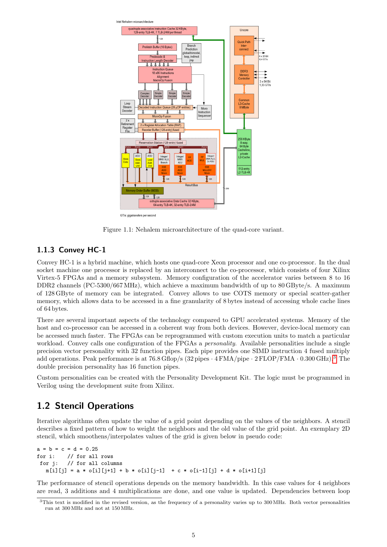

<span id="page-4-2"></span>Figure 1.1: Nehalem microarchitecture of the quad-core variant.

### <span id="page-4-0"></span>1.1.3 Convey HC-1

Convey HC-1 is a hybrid machine, which hosts one quad-core Xeon processor and one co-processor. In the dual socket machine one processor is replaced by an interconnect to the co-processor, which consists of four Xilinx Virtex-5 FPGAs and a memory subsystem. Memory configuration of the accelerator varies between 8 to 16 DDR2 channels (PC-5300/667 MHz), which achieve a maximum bandwidth of up to 80 GByte/s. A maximum of 128 GByte of memory can be integrated. Convey allows to use COTS memory or special scatter-gather memory, which allows data to be accessed in a fine granularity of 8 bytes instead of accessing whole cache lines of 64 bytes.

There are several important aspects of the technology compared to GPU accelerated systems. Memory of the host and co-processor can be accessed in a coherent way from both devices. However, device-local memory can be accessed much faster. The FPGAs can be reprogrammed with custom execution units to match a particular workload. Convey calls one configuration of the FPGAs a *personality*. Available personalities include a single precision vector personality with 32 function pipes. Each pipe provides one SIMD instruction 4 fused multiply add operations. Peak performance is at  $76.8$  Gflop/s  $(32 \text{ pipes} \cdot 4 \text{FMA/pipe} \cdot 2 \text{FLOP/FMA} \cdot 0.300 \text{ GHz})$  $(32 \text{ pipes} \cdot 4 \text{FMA/pipe} \cdot 2 \text{FLOP/FMA} \cdot 0.300 \text{ GHz})$  $(32 \text{ pipes} \cdot 4 \text{FMA/pipe} \cdot 2 \text{FLOP/FMA} \cdot 0.300 \text{ GHz})$ .<sup>3</sup> The double precision personality has 16 function pipes.

Custom personalities can be created with the Personality Development Kit. The logic must be programmed in Verilog using the development suite from Xilinx.

## <span id="page-4-1"></span>1.2 Stencil Operations

Iterative algorithms often update the value of a grid point depending on the values of the neighbors. A stencil describes a fixed pattern of how to weight the neighbors and the old value of the grid point. An exemplary 2D stencil, which smoothens/interpolates values of the grid is given below in pseudo code:

```
a = b = c = d = 0.25for i: // for all rows
for j: // for all columns
  m[i][j] = a * o[i][j+1] + b * o[i][j-1] + c * o[i-1][j] + d * o[i+1][j]
```
The performance of stencil operations depends on the memory bandwidth. In this case values for 4 neighbors are read, 3 additions and 4 multiplications are done, and one value is updated. Dependencies between loop

<span id="page-4-3"></span><sup>&</sup>lt;sup>3</sup>This text is modified in the revised version, as the frequency of a personality varies up to 300 MHz. Both vector personalities run at 300 MHz and not at 150 MHz.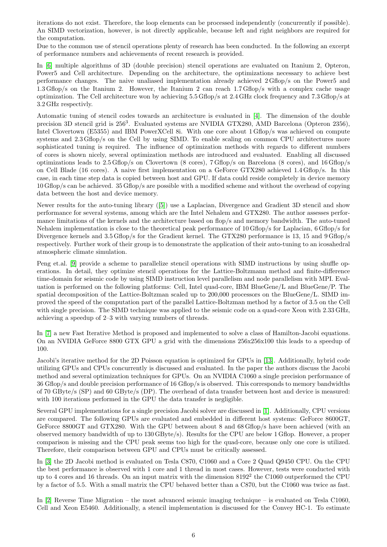iterations do not exist. Therefore, the loop elements can be processed independently (concurrently if possible). An SIMD vectorization, however, is not directly applicable, because left and right neighbors are required for the computation.

Due to the common use of stencil operations plenty of research has been conducted. In the following an excerpt of performance numbers and achievements of recent research is provided.

In [\[6\]](#page-22-3) multiple algorithms of 3D (double precision) stencil operations are evaluated on Itanium 2, Opteron, Power5 and Cell architecture. Depending on the architecture, the optimizations necessary to achieve best performance changes. The naive unaliased implementation already achieved 2 Gflop/s on the Power5 and 1.3 Gflop/s on the Itanium 2. However, the Itanium 2 can reach 1.7 Gflop/s with a complex cache usage optimization. The Cell architecture won by achieving 5.5 Gflop/s at 2.4 GHz clock frequency and 7.3 Gflop/s at 3.2 GHz respectivly.

Automatic tuning of stencil codes towards an architecture is evaluated in [\[4\]](#page-22-4). The dimension of the double precision 3D stencil grid is 256<sup>3</sup>. Evaluated systems are NVIDIA GTX280, AMD Barcelona (Opteron 2356), Intel Clovertown (E5355) and IBM PowerXCell 8i. With one core about 1 Gflop/s was achieved on compute systems and 2.3 Gflop/s on the Cell by using SIMD. To enable scaling on common CPU architectures more sophisticated tuning is required. The influence of optimization methods with regards to different numbers of cores is shown nicely, several optimization methods are introduced and evaluated. Enabling all discussed optimizations leads to 2.5 Gflop/s on Clovertown (8 cores), 7 Gflop/s on Barcelona (8 cores), and 16 Gflop/s on Cell Blade (16 cores). A naive first implementation on a GeForce GTX280 achieved 1.4 Gflop/s. In this case, in each time step data is copied between host and GPU. If data could reside completely in device memory 10 Gflop/s can be achieved. 35 Gflop/s are possible with a modified scheme and without the overhead of copying data between the host and device memory.

Newer results for the auto-tuning library ([\[5\]](#page-22-5)) use a Laplacian, Divergence and Gradient 3D stencil and show performance for several systems, among which are the Intel Nehalem and GTX280. The author assesses performance limitations of the kernels and the architecture based on flop/s and memory bandwidth. The auto-tuned Nehalem implementation is close to the theoretical peak performance of 10 Gflop/s for Laplacian, 6 Gflop/s for Divergence kernels and 3.5 Gflop/s for the Gradient kernel. The GTX280 performance is 13, 15 and 9 Gflop/s respectively. Further work of their group is to demonstrate the application of their auto-tuning to an icosahedral atmospheric climate simulation.

Peng et.al. [\[9\]](#page-22-6) provide a scheme to parallelize stencil operations with SIMD instructions by using shuffle operations. In detail, they optimize stencil operations for the Lattice-Boltzmann method and finite-difference time-domain for seismic code by using SIMD instruction level parallelism and node parallelism with MPI. Evaluation is performed on the following platforms: Cell, Intel quad-core, IBM BlueGene/L and BlueGene/P. The spatial decomposition of the Lattice-Boltzman scaled up to 200,000 processors on the BlueGene/L. SIMD improved the speed of the computation part of the parallel Lattice-Boltzman method by a factor of 3.5 on the Cell with single precision. The SIMD technique was applied to the seismic code on a quad-core Xeon with 2.33 GHz, achieving a speedup of 2–3 with varying numbers of threads.

In [\[7\]](#page-22-7) a new Fast Iterative Method is proposed and implemented to solve a class of Hamilton-Jacobi equations. On an NVIDIA GeForce 8800 GTX GPU a grid with the dimensions 256x256x100 this leads to a speedup of 100.

Jacobi's iterative method for the 2D Poisson equation is optimized for GPUs in [\[13\]](#page-22-8). Additionally, hybrid code utilizing GPUs and CPUs concurrently is discussed and evaluated. In the paper the authors discuss the Jacobi method and several optimization techniques for GPUs. On an NVIDIA C1060 a single precision performance of 36 Gflop/s and double precision performance of 16 Gflop/s is observed. This corresponds to memory bandwidths of 70 GByte/s (SP) and 60 GByte/s (DP). The overhead of data transfer between host and device is measured: with 100 iterations performed in the GPU the data transfer is negligible.

Several GPU implementations for a single precision Jacobi solver are discussed in [\[1\]](#page-22-9). Additionally, CPU versions are compared. The following GPUs are evaluated and embedded in different host systems: GeForce 8600GT, GeForce 8800GT and GTX280. With the GPU between about 8 and 68 Gflop/s have been achieved (with an observed memory bandwidth of up to 130 GByte/s). Results for the CPU are below 1 Gflop. However, a proper comparison is missing and the CPU peak seems too high for the quad-core, because only one core is utilized. Therefore, their comparison between GPU and CPUs must be critically assessed.

In [\[3\]](#page-22-10) the 2D Jacobi method is evaluated on Tesla C870, C1060 and a Core 2 Quad Q9450 CPU. On the CPU the best performance is observed with 1 core and 1 thread in most cases. However, tests were conducted with up to 4 cores and 16 threads. On an input matrix with the dimension  $8192^2$  the C1060 outperformed the CPU by a factor of 5.5. With a small matrix the CPU behaved better than a C870, but the C1060 was twice as fast.

In [\[2\]](#page-22-11) Reverse Time Migration – the most advanced seismic imaging technique – is evaluated on Tesla C1060, Cell and Xeon E5460. Additionally, a stencil implementation is discussed for the Convey HC-1. To estimate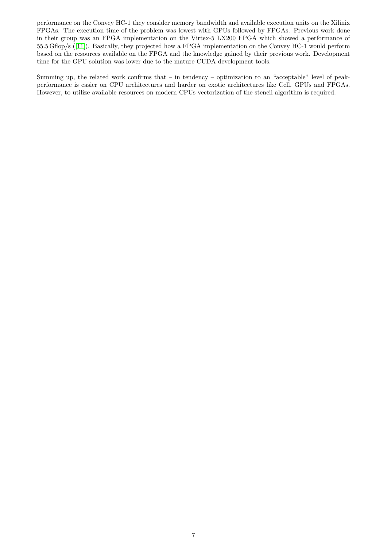performance on the Convey HC-1 they consider memory bandwidth and available execution units on the Xilinix FPGAs. The execution time of the problem was lowest with GPUs followed by FPGAs. Previous work done in their group was an FPGA implementation on the Virtex-5 LX200 FPGA which showed a performance of 55.5 Gflop/s ([\[11\]](#page-22-12)). Basically, they projected how a FPGA implementation on the Convey HC-1 would perform based on the resources available on the FPGA and the knowledge gained by their previous work. Development time for the GPU solution was lower due to the mature CUDA development tools.

Summing up, the related work confirms that – in tendency – optimization to an "acceptable" level of peakperformance is easier on CPU architectures and harder on exotic architectures like Cell, GPUs and FPGAs. However, to utilize available resources on modern CPUs vectorization of the stencil algorithm is required.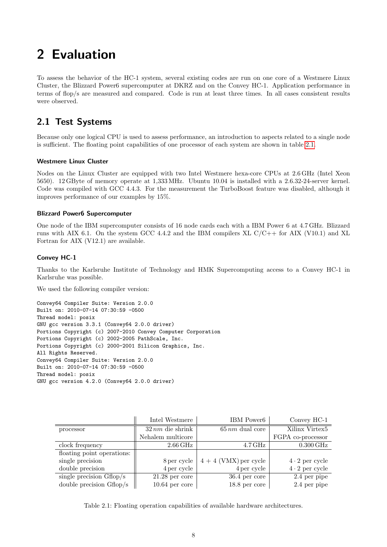# <span id="page-7-0"></span>2 Evaluation

To assess the behavior of the HC-1 system, several existing codes are run on one core of a Westmere Linux Cluster, the Blizzard Power6 supercomputer at DKRZ and on the Convey HC-1. Application performance in terms of flop/s are measured and compared. Code is run at least three times. In all cases consistent results were observed.

## <span id="page-7-1"></span>2.1 Test Systems

Because only one logical CPU is used to assess performance, an introduction to aspects related to a single node is sufficient. The floating point capabilities of one processor of each system are shown in table [2.1.](#page-7-2)

#### Westmere Linux Cluster

Nodes on the Linux Cluster are equipped with two Intel Westmere hexa-core CPUs at 2.6 GHz (Intel Xeon 5650). 12 GByte of memory operate at 1,333 MHz. Ubuntu 10.04 is installed with a 2.6.32-24-server kernel. Code was compiled with GCC 4.4.3. For the measurement the TurboBoost feature was disabled, although it improves performance of our examples by 15%.

#### Blizzard Power6 Supercomputer

One node of the IBM supercomputer consists of 16 node cards each with a IBM Power 6 at 4.7 GHz. Blizzard runs with AIX 6.1. On the system GCC 4.4.2 and the IBM compilers XL  $C/C++$  for AIX (V10.1) and XL Fortran for AIX (V12.1) are available.

#### Convey HC-1

<span id="page-7-2"></span>Thanks to the Karlsruhe Institute of Technology and HMK Supercomputing access to a Convey HC-1 in Karlsruhe was possible.

We used the following compiler version:

```
Convey64 Compiler Suite: Version 2.0.0
Built on: 2010-07-14 07:30:59 -0500
Thread model: posix
GNU gcc version 3.3.1 (Convey64 2.0.0 driver)
Portions Copyright (c) 2007-2010 Convey Computer Corporation
Portions Copyright (c) 2002-2005 PathScale, Inc.
Portions Copyright (c) 2000-2001 Silicon Graphics, Inc.
All Rights Reserved.
Convey64 Compiler Suite: Version 2.0.0
Built on: 2010-07-14 07:30:59 -0500
Thread model: posix
GNU gcc version 4.2.0 (Convey64 2.0.0 driver)
```

|                            | Intel Westmere       | IBM Power6            | Convey HC-1           |
|----------------------------|----------------------|-----------------------|-----------------------|
| processor                  | $32\,nm$ die shrink  | $65\,nm$ dual core    | Xilinx Virtex5        |
|                            | Nehalem multicore    |                       | FGPA co-processor     |
| clock frequency            | $2.66\,\mathrm{GHz}$ | $4.7\,\mathrm{GHz}$   | $0.300\,\mathrm{GHz}$ |
| floating point operations: |                      |                       |                       |
| single precision           | 8 per cycle          | $4+4$ (VMX) per cycle | $4 \cdot 2$ per cycle |
| double precision           | 4 per cycle          | 4 per cycle           | $4 \cdot 2$ per cycle |
| single precision $Gflop/s$ | $21.28$ per core     | $36.4$ per core       | 2.4 per pipe          |
| double precision $Gflop/s$ | $10.64$ per core     | $18.8$ per core       | 2.4 per pipe          |

Table 2.1: Floating operation capabilities of available hardware architectures.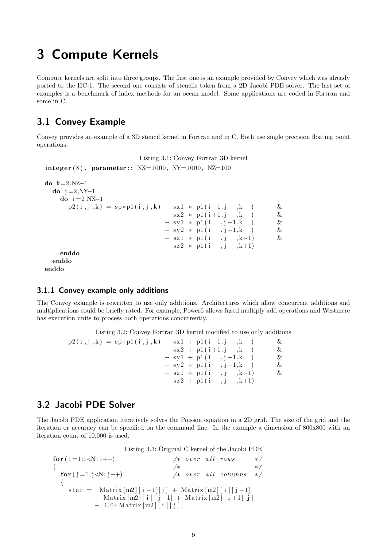## <span id="page-8-0"></span>3 Compute Kernels

Compute kernels are split into three groups. The first one is an example provided by Convey which was already ported to the HC-1. The second one consists of stencils taken from a 2D Jacobi PDE solver. The last set of examples is a benchmark of index methods for an ocean model. Some applications are coded in Fortran and some in C.

## <span id="page-8-1"></span>3.1 Convey Example

Convey provides an example of a 3D stencil kernel in Fortran and in C. Both use single precision floating point operations.

```
Listing 3.1: Convey Fortran 3D kernel
```

```
integer (8), parameter:: NX=1000, NY=1000, NZ=100
```

```
do k=2,NZ-1
 \mathbf{do} j =2,NY-1
   do i = 2, NX-1
     p2(i, j, k) = sp * p1(i, j, k) + sx1 * p1(i-1, j, k) &
                            + sx2 * p1(i+1,j, k) &
                            + sy1 * pl(i, j-1,k) &
                            + sy2 * p1(i, j+1, k) &
                            + sz1 * p1(i, j, k-1) &
                            + sz2 * p1(i, j, k+1)
   enddo
 enddo
enddo
```
#### <span id="page-8-2"></span>3.1.1 Convey example only additions

The Convey example is rewritten to use only additions. Architectures which allow concurrent additions and multiplications could be briefly rated. For example, Power6 allows fused multiply add operations and Westmere has execution units to process both operations concurrently.

Listing 3.2: Convey Fortran 3D kernel modified to use only additions

| $p2(i, j, k) = sp+p1(i, j, k) + sx1 + p1(i-1, j, k)$ |                         | & |
|------------------------------------------------------|-------------------------|---|
|                                                      | $+$ sx2 + p1(i+1,j), k  | & |
|                                                      | $+ sy1 + p1(i, i-1, k)$ | & |
|                                                      | $+ sy2 + p1(i, j+1, k)$ | & |
|                                                      | $+$ sz1 + p1(i, i, k-1) | & |
|                                                      | $+$ sz2 + p1(i, j, k+1) |   |

#### <span id="page-8-3"></span>3.2 Jacobi PDE Solver

The Jacobi PDE application iteratively solves the Poisson equation in a 2D grid. The size of the grid and the iteration or accuracy can be specified on the command line. In the example a dimension of 800x800 with an iteration count of 10,000 is used.

Listing 3.3: Original C kernel of the Jacobi PDE

```
for ( i = 1; i < N; i++) /* over all rows */
\{ * * * /
 for (j=1; j\le N; j++) /* over all columns */
 {
   star = Matrix [m2] | i -1| | j ] + Matrix [m2] | i | j -1]+ Matrix [m2] [i] [j+1] + Matrix [m2] [i+1] [j]− 4. 0 ∗ Matrix [m2 ] [ i ] [ j ] ;
```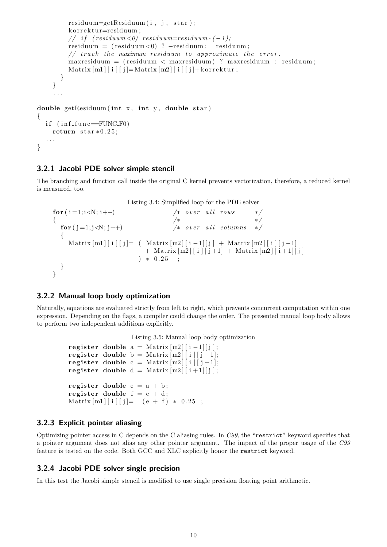```
residuum=getResiduum (i, j, star);
         korrektur=residuum;
         // if (residuum <0) residuum=residuum *(-1);
         residuum = ( residuum <0) ? −residuum : residuum ;
         // track the maximum residuum to approximate the error.
         maxresiduum = ( residuum < maxresiduum ) ? maxresiduum : residuum ;
         Matrix [m1][i][j] = Matrix[m2][i][j] + korrektur;}
    }
     . . .
double getResiduum (int x, int y, double star)
{
  if (inf_{\text{in} f \text{un} c = FUNCF0})
    return star * 0.25;
  . . .
}
```
#### <span id="page-9-0"></span>3.2.1 Jacobi PDE solver simple stencil

The branching and function call inside the original C kernel prevents vectorization, therefore, a reduced kernel is measured, too.

Listing 3.4: Simplified loop for the PDE solver

```
for ( i = 1; i < N; i++) /* over all rows */
{ /∗ ∗/
 for ( j = 1; j < N; j++) /* over all columns */
 for (j=1; j \le N; j++)Matrix [m1][i][j] = (Matrix[m2][i-1][j] + Matrix[m2][i][j-1]+ Matrix [m2] [i][j+1] + Matrix [m2] [i+1][j]) * 0.25 ;
 }
}
```
#### <span id="page-9-1"></span>3.2.2 Manual loop body optimization

Naturally, equations are evaluated strictly from left to right, which prevents concurrent computation within one expression. Depending on the flags, a compiler could change the order. The presented manual loop body allows to perform two independent additions explicitly.

Listing 3.5: Manual loop body optimization

```
register double a = \text{Matrix} [m2][i-1][j];register double b = Matrix [m2][i][j-1];register double c = Matrix [m2][i][j+1];register double d = \text{Matrix} [m2][i+1][j];register double e = a + b;
register double f = c + d;
Matrix[m1][i][j] = (e + f) * 0.25;
```
#### <span id="page-9-2"></span>3.2.3 Explicit pointer aliasing

Optimizing pointer access in C depends on the C aliasing rules. In C99, the "restrict" keyword specifies that a pointer argument does not alias any other pointer argument. The impact of the proper usage of the C99 feature is tested on the code. Both GCC and XLC explicitly honor the restrict keyword.

#### <span id="page-9-3"></span>3.2.4 Jacobi PDE solver single precision

In this test the Jacobi simple stencil is modified to use single precision floating point arithmetic.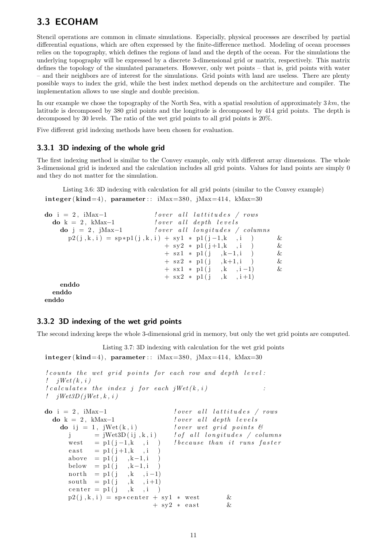## <span id="page-10-0"></span>3.3 ECOHAM

Stencil operations are common in climate simulations. Especially, physical processes are described by partial differential equations, which are often expressed by the finite-difference method. Modeling of ocean processes relies on the topography, which defines the regions of land and the depth of the ocean. For the simulations the underlying topography will be expressed by a discrete 3-dimensional grid or matrix, respectively. This matrix defines the topology of the simulated parameters. However, only wet points – that is, grid points with water – and their neighbors are of interest for the simulations. Grid points with land are useless. There are plenty possible ways to index the grid, while the best index method depends on the architecture and compiler. The implementation allows to use single and double precision.

In our example we chose the topography of the North Sea, with a spatial resolution of approximately 3 km, the latitude is decomposed by 380 grid points and the longitude is decomposed by 414 grid points. The depth is decomposed by 30 levels. The ratio of the wet grid points to all grid points is 20%.

Five different grid indexing methods have been chosen for evaluation.

#### <span id="page-10-1"></span>3.3.1 3D indexing of the whole grid

The first indexing method is similar to the Convey example, only with different array dimensions. The whole 3-dimensional grid is indexed and the calculation includes all grid points. Values for land points are simply 0 and they do not matter for the simulation.

Listing 3.6: 3D indexing with calculation for all grid points (similar to the Convey example)  $integer (kind=4), parameter :: iMax=380, jMax=414, kMax=30$ 

```
\mathbf{do} i = 2, iMax-1 ! over \ all \ lattitudes / rows\bf{do} \ \ k = 2, \ \ kMax-1 ! over all depth levels
   \bf{do} j = 2, jMax-1 lover all longitudes / columns
     p2(j, k, i) = sp * p1(j, k, i) + sy1 * p1(j-1, k, i) &
                             + sy2 * p1 (i+1,k , i) &
                             + sz1 * p1(j ,k-1,i ) &
                             + sz2 * p1(j, k+1,i) &
                             + sx1 * p1(j, k, i-1) &
                             + sx2 * p1(j, k, i+1)
   enddo
 enddo
enddo
```
#### <span id="page-10-2"></span>3.3.2 3D indexing of the wet grid points

The second indexing keeps the whole 3-dimensional grid in memory, but only the wet grid points are computed.

```
Listing 3.7: 3D indexing with calculation for the wet grid points
integer (kind=4), parameter :: iMax=380, jMax=414, kMax=30! counts the wet grid points for each row and depth level:
! jWet (k, i)l\,cal calculates the index j for each jWet(k, i) :
! jWet3D (jWet, k, i)
\textbf{do} i = 2, iMax-1 ! over \ all \ lattitudes / rows\bf{do} \ \ k = 2, \ \ kMax-1 ! over \ \ a \ ll \ \ depth \ \ levelsdo ij = 1, jWet(k, i) lover \,wet \,grid \,point \,s \, \mathcal{C}j = jWet3D ( i j , k , i ) ! o f a l l l o n g i t u d e s / columns
       west = p1(j-1,k, i) ! because than it runs faster
       \text{east} = \text{p1}(j+1,k, i)above = p1(j, k-1, i)below = p1(j, k-1, i)\begin{array}{rcl} \text{north} & = \text{p1}\,(\,j & \,,k & \,,i - 1) \\ \text{south} & = \text{p1}\,(\,j & \,,k & \,,i + 1) \end{array}south = p1(j)center = p1(j, k, i)p2(j, k, i) = sp*center + sy1 * west &
                                  + sv2 * east &
```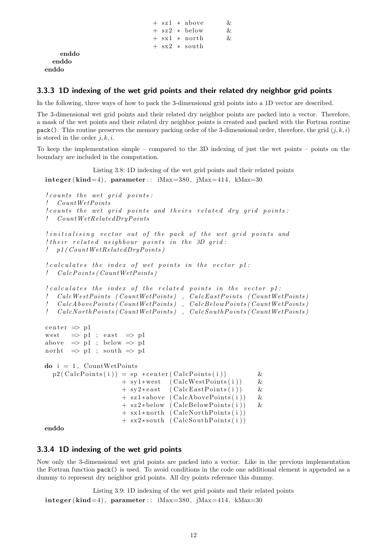```
+ sz1 * above &
+ sz2 * below &
+ sx1 * north &
+ sx2 ∗ s ou th
```

```
enddo
  enddo
enddo
```
#### <span id="page-11-0"></span>3.3.3 1D indexing of the wet grid points and their related dry neighbor grid points

In the following, three ways of how to pack the 3-dimensional grid points into a 1D vector are described.

The 3-dimensional wet grid points and their related dry neighbor points are packed into a vector. Therefore, a mask of the wet points and their related dry neighbor points is created and packed with the Fortran routine pack(). This routine preserves the memory packing order of the 3-dimensional order, therefore, the grid  $(j, k, i)$ is stored in the order  $j, k, i$ .

To keep the implementation simple – compared to the 3D indexing of just the wet points – points on the boundary are included in the computation.

```
Listing 3.8: 1D indexing of the wet grid points and their related points
integer (kind=4), parameter :: iMax=380, iMax=414, kMax=30le 1 counts the wet grid points:
! CountWetPoints
{le counts} the wet grid points and theirs related dry grid points:
! CountWetRelatedDryPoints! initialising vector out of the pack of the wet grid points and
l their related neighbour points in the 3D grid:
! p1 (Count WetRelatedDryPoints)
l\,cal calculates the index of wet points in the vector p1:
! CalcPoints (CountWetPoints)l\,cal calculates the index of the related points in the vector p1:
! CalcWestPoints (CountWetPoints), CalcEastPoints (CountWetPoints)
! \emph{CalcAbovePoints} ( CountWetPoints ), CalcBelowPoints ( CountWetPoints )
! CalcNorth Points (CountWetPoints), CalcSouth Points (CountWetPoints)center \Rightarrow p1
west \Rightarrow p1 ; east \Rightarrow p1
above \Rightarrow p1 ; below \Rightarrow p1
norht \Rightarrow p1 ; south \Rightarrow p1
\mathbf{do} i = 1, \mathbf{CountWetPoints}p2 (CalcPoints(i)) = sp *center(CalcPoints(i)) &
                      + sy1 ∗west ( CalcWestPoints ( i ) ) &
                      + sy2* east (CalcEastPoints(i)) &
                      + sz1*above (CalcAbovePoints(i)) &
                      + sz2*below (CalcBelowPoints(i)) &
                      + sx1 * north (CalcNorthPoints (i))
                      + sx2 * south (CalcSouthPoints (i))
```
enddo

#### <span id="page-11-1"></span>3.3.4 1D indexing of the wet grid points

Now only the 3-dimensional wet grid points are packed into a vector. Like in the previous implementation the Fortran function pack() is used. To avoid conditions in the code one additional element is appended as a dummy to represent dry neighbor grid points. All dry points reference this dummy.

Listing 3.9: 1D indexing of the wet grid points and their related points  $integer (kind=4), parameter :: iMax=380, jMax=414, kMax=30$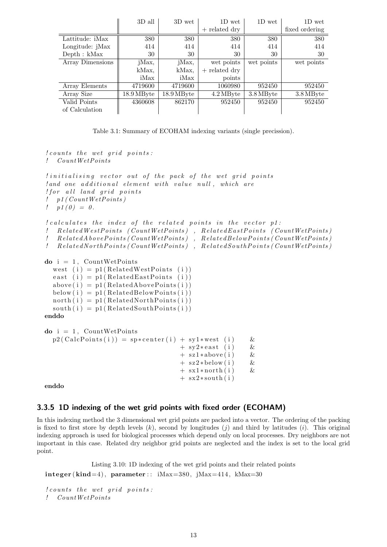|                  | 3D all     | 3D wet     | 1D wet          | 1D wet     | 1D wet         |
|------------------|------------|------------|-----------------|------------|----------------|
|                  |            |            | $+$ related dry |            | fixed ordering |
| Lattitude: iMax  | 380        | 380        | 380             | 380        | 380            |
| Longitude: jMax  | 414<br>414 |            | 414             | 414        | 414            |
| Depth: kMax      | 30         | 30         | 30              | 30         | 30             |
| Array Dimensions | jMax,      | jMax,      | wet points      | wet points | wet points     |
|                  | kMax,      | kMax,      | $+$ related dry |            |                |
|                  | iMax       | iMax       | points          |            |                |
| Array Elements   | 4719600    | 4719600    | 1060980         | 952450     | 952450         |
| Array Size       | 18.9 MByte | 18.9 MByte | 4.2 MByte       | 3.8 MByte  | 3.8 MByte      |
| Valid Points     | 4360608    | 862170     | 952450          | 952450     | 952450         |
| of Calculation   |            |            |                 |            |                |

Table 3.1: Summary of ECOHAM indexing variants (single precission).

```
le 1 counts the wet grid points:
! CountWetPoints
l initialising vector out of the pack of the wet grid points
land one additional element with value null, which are! for all land grid points! p1 (CountWetPoints)
! p1(0) = 0.l\,cal calculates the index of the related points in the vector p1:
! Related WestPoints (CountWetPoints), Related EastPoints (CountWetPoints)
\, . RelatedAbovePoints (CountWetPoints) , RelatedBelowPoints (CountWetPoints)
: Related North Points (Count Wet Points), Related South Points (Count Wet Points)
\mathbf{do} i = 1, \mathbf{CountWetPoints}west (i) = p1(RelatedWestPoints (i))east (i) = p1(RelatedEastPoints (i))above(i) = p1(RelatedAbovePoints(i))below(i) = p1 (Related BelowPoints(i))north(i) = p1(RelatedNorthPoints(i))south(i) = p1(RelatedSouthPoints(i))enddo
\bf{do} i = 1, CountWetPointsp2(CalcPoints(i)) = sp*center(i) + sy1*west(i) &
                                    + sy2* east (i) \&+ sz1*above(i) &
                                    + sz2 * below (i) &
                                    + sx1 * north (i) &
                                    + sx2 * south (i)
```
enddo

#### <span id="page-12-0"></span>3.3.5 1D indexing of the wet grid points with fixed order (ECOHAM)

In this indexing method the 3 dimensional wet grid points are packed into a vector. The ordering of the packing is fixed to first store by depth levels  $(k)$ , second by longitudes  $(j)$  and third by latitudes  $(i)$ . This original indexing approach is used for biological processes which depend only on local processes. Dry neighbors are not important in this case. Related dry neighbor grid points are neglected and the index is set to the local grid point.

Listing 3.10: 1D indexing of the wet grid points and their related points  $integer (kind=4), parameter :: iMax=380, jMax=414, kMax=30$ 

```
le counts the wet grid points:
! CountWetPoints
```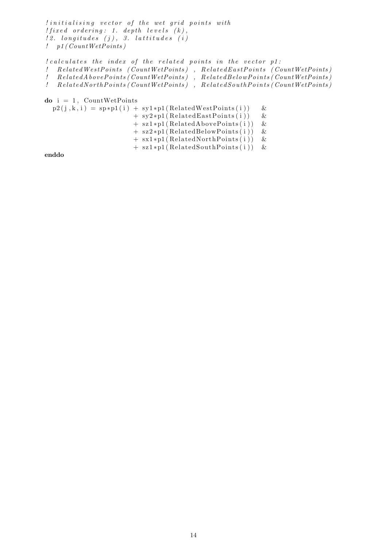```
limitialising vector of the wet grid points with! fixed ordering: 1. depth levels (k),
l2. longitudes (j), 3. lattitudes (i)!\quad p\,1\,(\,Count\,WetPoints\,)l\,cal calculates the index of the related points in the vector p1:
! Related WestPoints (CountWetPoints), Related EastPoints (CountWetPoints)
{.\ } \quad RelatedAbove Points\ ({\it CountWetPoints})\quad , \ \ RelatedBelow Points\ ({\it CountWetPoints}){.\ } \quad {Re\,latedNorth\,Points\,({\,Count\,WetPoints\,})\quad,\  \, RelatedSouth\,Points\,({\,Count\,WetPoints\,})}\mathbf{do} i = 1, \mathbf{CountWetPoints}p2(j, k, i) = sp*p1(i) + sy1*p1(RelatedWestPoints(i)) &
                          + sy2*pi(RelatedEastPoints(i)) &
                          + sz1*p1(RelatedAbovePoints(i)) &
                          + sz2*p1(RelatedBelowPoints(i)) &
                          + sx1*p1(RelatedNorthPoints(i)) &
                          + sz1*p1(RelatedSouthPoints(i)) &
```
enddo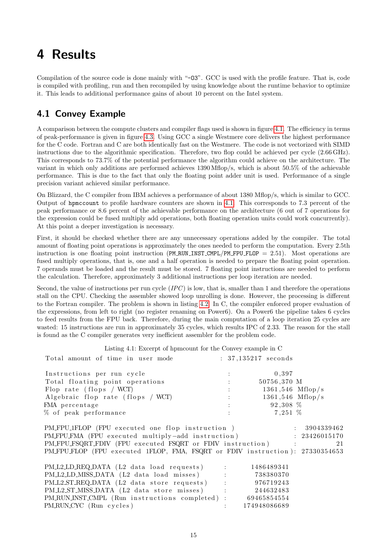## <span id="page-14-0"></span>4 Results

Compilation of the source code is done mainly with "-O3". GCC is used with the profile feature. That is, code is compiled with profiling, run and then recompiled by using knowledge about the runtime behavior to optimize it. This leads to additional performance gains of about 10 percent on the Intel system.

## <span id="page-14-1"></span>4.1 Convey Example

A comparison between the compute clusters and compiler flags used is shown in figure [4.1.](#page-15-1) The efficiency in terms of peak-performance is given in figure [4.3.](#page-16-0) Using GCC a single Westmere core delivers the highest performance for the C code. Fortran and C are both identically fast on the Westmere. The code is not vectorized with SIMD instructions due to the algorithmic specification. Therefore, two flop could be achieved per cycle (2.66 GHz). This corresponds to 73.7% of the potential performance the algorithm could achieve on the architecture. The variant in which only additions are performed achieves 1390 Mflop/s, which is about 50.5% of the achievable performance. This is due to the fact that only the floating point adder unit is used. Performance of a single precision variant achieved similar performance.

On Blizzard, the C compiler from IBM achieves a performance of about 1380 Mflop/s, which is similar to GCC. Output of hpmccount to profile hardware counters are shown in [4.1.](#page-14-2) This corresponds to 7.3 percent of the peak performance or 8.6 percent of the achievable performance on the architecture (6 out of 7 operations for the expression could be fused multiply add operations, both floating operation units could work concurrently). At this point a deeper investigation is necessary.

First, it should be checked whether there are any unnecessary operations added by the compiler. The total amount of floating point operations is approximately the ones needed to perform the computation. Every 2.5th instruction is one floating point instruction (PM\_RUN\_INST\_CMPL/PM\_FPU\_FLOP  $= 2.51$ ). Most operations are fused multiply operations, that is, one and a half operation is needed to prepare the floating point operation. 7 operands must be loaded and the result must be stored. 7 floating point instructions are needed to perform the calculation. Therefore, approximately 3 additional instructions per loop iteration are needed.

Second, the value of instructions per run cycle  $(IPC)$  is low, that is, smaller than 1 and therefore the operations stall on the CPU. Checking the assembler showed loop unrolling is done. However, the processing is different to the Fortran compiler. The problem is shown in listing [4.2.](#page-15-2) In C, the compiler enforced proper evaluation of the expressions, from left to right (no register renaming on Power6). On a Power6 the pipeline takes 6 cycles to feed results from the FPU back. Therefore, during the main computation of a loop iteration 25 cycles are wasted: 15 instructions are run in approximately 35 cycles, which results IPC of 2.33. The reason for the stall is found as the C compiler generates very inefficient assembler for the problem code.

Listing 4.1: Excerpt of hpmcount for the Convey example in C

<span id="page-14-2"></span>

| Total amount of time in user mode                                           | $: 37,135217$ seconds                                                                                                                                                                                                                                                                                                                                                                                                                                       |              |                    |
|-----------------------------------------------------------------------------|-------------------------------------------------------------------------------------------------------------------------------------------------------------------------------------------------------------------------------------------------------------------------------------------------------------------------------------------------------------------------------------------------------------------------------------------------------------|--------------|--------------------|
| Instructions per run cycle                                                  |                                                                                                                                                                                                                                                                                                                                                                                                                                                             | 0,397        |                    |
| Total floating point operations<br>and the state of the state of the        |                                                                                                                                                                                                                                                                                                                                                                                                                                                             | 50756,370 M  |                    |
| Flop rate (flops / WCT)                                                     | $\mathcal{L}(\mathcal{L}(\mathcal{L}(\mathcal{L}(\mathcal{L}(\mathcal{L}(\mathcal{L}(\mathcal{L}(\mathcal{L}(\mathcal{L}(\mathcal{L}(\mathcal{L}(\mathcal{L}(\mathcal{L}(\mathcal{L}(\mathcal{L}(\mathcal{L}(\mathcal{L}(\mathcal{L}(\mathcal{L}(\mathcal{L}(\mathcal{L}(\mathcal{L}(\mathcal{L}(\mathcal{L}(\mathcal{L}(\mathcal{L}(\mathcal{L}(\mathcal{L}(\mathcal{L}(\mathcal{L}(\mathcal{L}(\mathcal{L}(\mathcal{L}(\mathcal{L}(\mathcal{L}(\mathcal{$ |              | $1361,546$ Mflop/s |
| Algebraic flop rate (flops / WCT)                                           | $1361,546$ Mflop/s                                                                                                                                                                                                                                                                                                                                                                                                                                          |              |                    |
| FMA percentage                                                              | $92,308\%$                                                                                                                                                                                                                                                                                                                                                                                                                                                  |              |                    |
| % of peak performance                                                       | $7,251\%$                                                                                                                                                                                                                                                                                                                                                                                                                                                   |              |                    |
| PMFPU_1FLOP (FPU executed one flop instruction)                             |                                                                                                                                                                                                                                                                                                                                                                                                                                                             |              | : 3904339462       |
| PMFPUFMA (FPU executed multiply-add instruction)                            |                                                                                                                                                                                                                                                                                                                                                                                                                                                             |              | : 23426015170      |
| PM_FPU_FSQRT_FDIV (FPU executed FSQRT or FDIV instruction) :                |                                                                                                                                                                                                                                                                                                                                                                                                                                                             |              | 21                 |
| PMFPUFLOP (FPU executed 1FLOP, FMA, FSQRT or FDIV instruction): 27330354653 |                                                                                                                                                                                                                                                                                                                                                                                                                                                             |              |                    |
| PML2LDREQ.DATA (L2 data load requests) :                                    |                                                                                                                                                                                                                                                                                                                                                                                                                                                             | 1486489341   |                    |
| PM_L2_LD_MISS_DATA (L2 data load misses) : 738380370                        |                                                                                                                                                                                                                                                                                                                                                                                                                                                             |              |                    |
| PML2STREQDATA (L2 data store requests) : 976719243                          |                                                                                                                                                                                                                                                                                                                                                                                                                                                             |              |                    |
| PM_L2_ST_MISS_DATA (L2 data store misses) : 244632483                       |                                                                                                                                                                                                                                                                                                                                                                                                                                                             |              |                    |
| PM_RUN_INST_CMPL (Run instructions completed) : 69465854554                 |                                                                                                                                                                                                                                                                                                                                                                                                                                                             |              |                    |
| PMRUNCYC (Run cycles)                                                       |                                                                                                                                                                                                                                                                                                                                                                                                                                                             | 174948086689 |                    |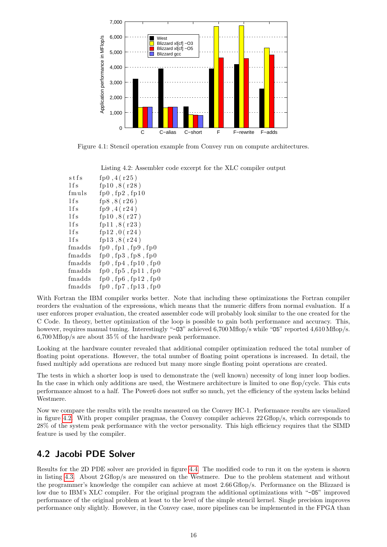

<span id="page-15-1"></span>Figure 4.1: Stencil operation example from Convey run on compute architectures.

<span id="page-15-2"></span>

|        | Listing 4.2: Assembler code excerpt for the XLC compiler output |
|--------|-----------------------------------------------------------------|
| stfs   | fp0, 4(r25)                                                     |
| 1fs    | fp10,8 $(r28)$                                                  |
| fmuls  | fp0, fp2, fp10                                                  |
| l f s  | fp8, 8(r26)                                                     |
| l f s  | fp $9, 4(r24)$                                                  |
| l f s  | fp10, 8(r27)                                                    |
| l f s  | fp11,8 $(r23)$                                                  |
| 1fs    | fp12,0(r24)                                                     |
| 1fs    | fp13,8 $(r24)$                                                  |
| fmadds | $fp0$ , $fp1$ , $fp9$ , $fp0$                                   |
| fmadds | fp0, fp3, fp8, fp0                                              |
| fmadds | fp0, fp4, fp10, fp0                                             |
| fmadds | fp0, fp5, fp11, fp0                                             |
| fmadds | fp0, fp6, fp12, fp0                                             |

With Fortran the IBM compiler works better. Note that including these optimizations the Fortran compiler reorders the evaluation of the expressions, which means that the numeric differs from normal evaluation. If a user enforces proper evaluation, the created assembler code will probably look similar to the one created for the C Code. In theory, better optimization of the loop is possible to gain both performance and accuracy. This, however, requires manual tuning. Interestingly "-03" achieved 6,700 Mflop/s while "05" reported 4,610 Mflop/s.  $6,700$  Mflop/s are about  $35\%$  of the hardware peak performance.

Looking at the hardware counter revealed that additional compiler optimization reduced the total number of floating point operations. However, the total number of floating point operations is increased. In detail, the fused multiply add operations are reduced but many more single floating point operations are created.

The tests in which a shorter loop is used to demonstrate the (well known) necessity of long inner loop bodies. In the case in which only additions are used, the Westmere architecture is limited to one flop/cycle. This cuts performance almost to a half. The Power6 does not suffer so much, yet the efficiency of the system lacks behind Westmere.

Now we compare the results with the results measured on the Convey HC-1. Performance results are visualized in figure [4.2.](#page-16-1) With proper compiler pragmas, the Convey compiler achieves 22 Gflop/s, which corresponds to 28% of the system peak performance with the vector personality. This high efficiency requires that the SIMD feature is used by the compiler.

### <span id="page-15-0"></span>4.2 Jacobi PDE Solver

fmadds fp0 , fp7 , fp13 , fp 0

Results for the 2D PDE solver are provided in figure [4.4.](#page-17-1) The modified code to run it on the system is shown in listing [4.3.](#page-17-2) About 2 Gflop/s are measured on the Westmere. Due to the problem statement and without the programmer's knowledge the compiler can achieve at most 2.66 Gflop/s. Performance on the Blizzard is low due to IBM's XLC compiler. For the original program the additional optimizations with "-05" improved performance of the original problem at least to the level of the simple stencil kernel. Single precision improves performance only slightly. However, in the Convey case, more pipelines can be implemented in the FPGA than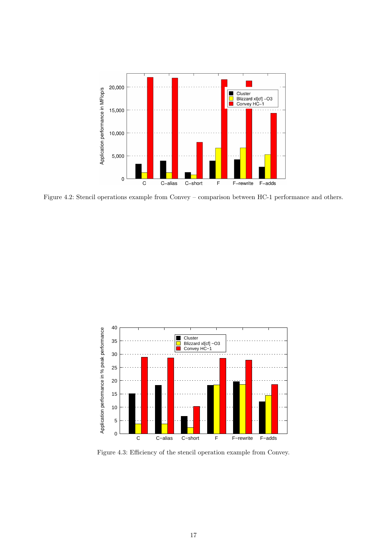

<span id="page-16-1"></span>Figure 4.2: Stencil operations example from Convey – comparison between HC-1 performance and others.



<span id="page-16-0"></span>Figure 4.3: Efficiency of the stencil operation example from Convey.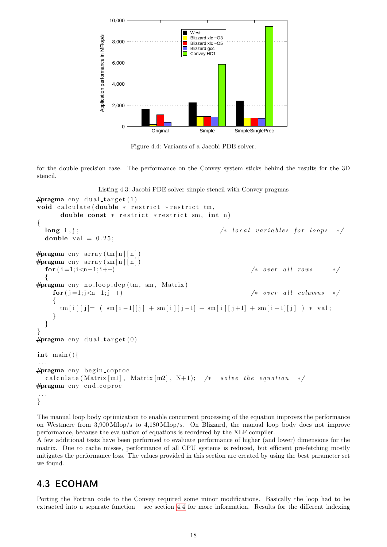

<span id="page-17-1"></span>Figure 4.4: Variants of a Jacobi PDE solver.

for the double precision case. The performance on the Convey system sticks behind the results for the 3D stencil.

Listing 4.3: Jacobi PDE solver simple stencil with Convey pragmas

```
\#pragma cny dual_target (1)
void calculate (double * restrict *restrict tm,
      double const * restrict * restrict sm, int n)
{
  long \ i,j; \qquad \qquad \textit{long} \quad i,j;double val = 0.25;
\#pragma cny array (\text{tm}[n][n])\#pragma cny array (sm [n ] [n])
  for (i=1; i < n-1; i++) /* over all rows
  {
# \npragma \ncm y \nno\_loop\_dep \ntm, \nsm, Matrix)for (j=1;j(n-1;j++) /* over all columns */
    {
      \tan[i][j] = ( \text{sm}[i-1][j] + \text{sm}[i][j-1] + \text{sm}[i][j+1] + \text{sm}[i+1][j] ) * \text{val};}
  }
}
\#pragma cny dual_target(0)int main(){
. . .
#pragma cny begin_coproc
  calculate (Matrix [m1], Matrix [m2], N+1); /* solve the equation */
#pragma cny end_coproc
. . .
}
```
The manual loop body optimization to enable concurrent processing of the equation improves the performance on Westmere from 3,900 Mflop/s to 4,180 Mflop/s. On Blizzard, the manual loop body does not improve performance, because the evaluation of equations is reordered by the XLF compiler.

A few additional tests have been performed to evaluate performance of higher (and lower) dimensions for the matrix. Due to cache misses, performance of all CPU systems is reduced, but efficient pre-fetching mostly mitigates the performance loss. The values provided in this section are created by using the best parameter set we found.

## <span id="page-17-0"></span>4.3 ECOHAM

Porting the Fortran code to the Convey required some minor modifications. Basically the loop had to be extracted into a separate function – see section [4.4](#page-18-0) for more information. Results for the different indexing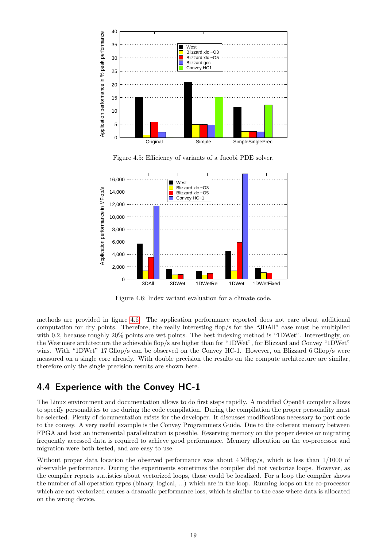

Figure 4.5: Efficiency of variants of a Jacobi PDE solver.



<span id="page-18-1"></span>Figure 4.6: Index variant evaluation for a climate code.

methods are provided in figure [4.6.](#page-18-1) The application performance reported does not care about additional computation for dry points. Therefore, the really interesting flop/s for the "3DAll" case must be multiplied with 0.2, because roughly 20% points are wet points. The best indexing method is "1DWet". Interestingly, on the Westmere architecture the achievable flop/s are higher than for "1DWet", for Blizzard and Convey "1DWet" wins. With "1DWet" 17 Gflop/s can be observed on the Convey HC-1. However, on Blizzard 6 Gflop/s were measured on a single core already. With double precision the results on the compute architecture are similar, therefore only the single precision results are shown here.

### <span id="page-18-0"></span>4.4 Experience with the Convey HC-1

The Linux environment and documentation allows to do first steps rapidly. A modified Open64 compiler allows to specify personalities to use during the code compilation. During the compilation the proper personality must be selected. Plenty of documentation exists for the developer. It discusses modifications necessary to port code to the convey. A very useful example is the Convey Programmers Guide. Due to the coherent memory between FPGA and host an incremental parallelization is possible. Reserving memory on the proper device or migrating frequently accessed data is required to achieve good performance. Memory allocation on the co-processor and migration were both tested, and are easy to use.

Without proper data location the observed performance was about 4 Mflop/s, which is less than  $1/1000$  of observable performance. During the experiments sometimes the compiler did not vectorize loops. However, as the compiler reports statistics about vectorized loops, those could be localized. For a loop the compiler shows the number of all operation types (binary, logical, ...) which are in the loop. Running loops on the co-processor which are not vectorized causes a dramatic performance loss, which is similar to the case where data is allocated on the wrong device.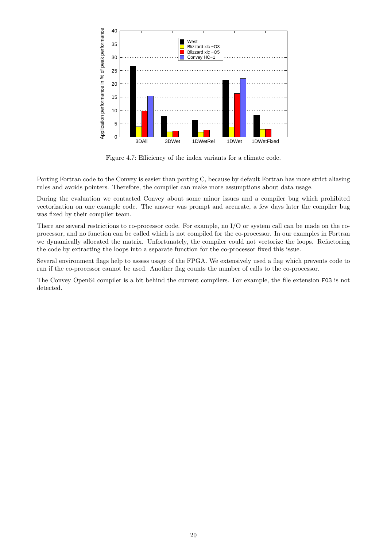

Figure 4.7: Efficiency of the index variants for a climate code.

Porting Fortran code to the Convey is easier than porting C, because by default Fortran has more strict aliasing rules and avoids pointers. Therefore, the compiler can make more assumptions about data usage.

During the evaluation we contacted Convey about some minor issues and a compiler bug which prohibited vectorization on one example code. The answer was prompt and accurate, a few days later the compiler bug was fixed by their compiler team.

There are several restrictions to co-processor code. For example, no I/O or system call can be made on the coprocessor, and no function can be called which is not compiled for the co-processor. In our examples in Fortran we dynamically allocated the matrix. Unfortunately, the compiler could not vectorize the loops. Refactoring the code by extracting the loops into a separate function for the co-processor fixed this issue.

Several environment flags help to assess usage of the FPGA. We extensively used a flag which prevents code to run if the co-processor cannot be used. Another flag counts the number of calls to the co-processor.

The Convey Open64 compiler is a bit behind the current compilers. For example, the file extension F03 is not detected.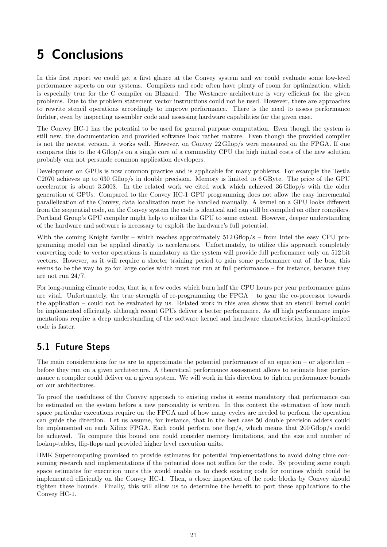# <span id="page-20-0"></span>5 Conclusions

In this first report we could get a first glance at the Convey system and we could evaluate some low-level performance aspects on our systems. Compilers and code often have plenty of room for optimization, which is especially true for the C compiler on Blizzard. The Westmere architecture is very efficient for the given problems. Due to the problem statement vector instructions could not be used. However, there are approaches to rewrite stencil operations accordingly to improve performance. There is the need to assess performance furhter, even by inspecting assembler code and assessing hardware capabilities for the given case.

The Convey HC-1 has the potential to be used for general purpose computation. Even though the system is still new, the documentation and provided software look rather mature. Even though the provided compiler is not the newest version, it works well. However, on Convey 22 Gflop/s were measured on the FPGA. If one compares this to the 4 Gflop/s on a single core of a commodity CPU the high initial costs of the new solution probably can not persuade common application developers.

Development on GPUs is now common practice and is applicable for many problems. For example the Testla C2070 achieves up to 630 Gflop/s in double precision. Memory is limited to 6 GByte. The price of the GPU accelerator is about 3,500\$. In the related work we cited work which achieved 36 Gflop/s with the older generation of GPUs. Compared to the Convey HC-1 GPU programming does not allow the easy incremental parallelization of the Convey, data localization must be handled manually. A kernel on a GPU looks different from the sequential code, on the Convey system the code is identical and can still be compiled on other compilers. Portland Group's GPU compiler might help to utilize the GPU to some extent. However, deeper understanding of the hardware and software is necessary to exploit the hardware's full potential.

With the coming Knight family – which reaches approximately  $512 \text{ Gflop/s}$  – from Intel the easy CPU programming model can be applied directly to accelerators. Unfortunately, to utilize this approach completely converting code to vector operations is mandatory as the system will provide full performance only on 512 bit vectors. However, as it will require a shorter training period to gain some performance out of the box, this seems to be the way to go for large codes which must not run at full performance – for instance, because they are not run 24/7.

For long-running climate codes, that is, a few codes which burn half the CPU hours per year performance gains are vital. Unfortunately, the true strength of re-programming the FPGA – to gear the co-processor towards the application – could not be evaluated by us. Related work in this area shows that an stencil kernel could be implemented efficiently, although recent GPUs deliver a better performance. As all high performance implementations require a deep understanding of the software kernel and hardware characteristics, hand-optimized code is faster.

## <span id="page-20-1"></span>5.1 Future Steps

The main considerations for us are to approximate the potential performance of an equation – or algorithm – before they run on a given architecture. A theoretical performance assessment allows to estimate best performance a compiler could deliver on a given system. We will work in this direction to tighten performance bounds on our architectures.

To proof the usefulness of the Convey approach to existing codes it seems mandatory that performance can be estimated on the system before a new personality is written. In this context the estimation of how much space particular executions require on the FPGA and of how many cycles are needed to perform the operation can guide the direction. Let us assume, for instance, that in the best case 50 double precision adders could be implemented on each Xilinx FPGA. Each could perform one flop/s, which means that 200 Gflop/s could be achieved. To compute this bound one could consider memory limitations, and the size and number of lookup-tables, flip-flops and provided higher level execution units.

HMK Supercomputing promised to provide estimates for potential implementations to avoid doing time consuming research and implementations if the potential does not suffice for the code. By providing some rough space estimates for execution units this would enable us to check existing code for routines which could be implemented efficiently on the Convey HC-1. Then, a closer inspection of the code blocks by Convey should tighten these bounds. Finally, this will allow us to determine the benefit to port these applications to the Convey HC-1.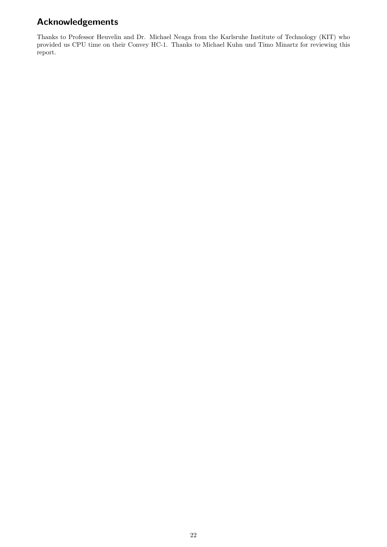## Acknowledgements

Thanks to Professor Heuvelin and Dr. Michael Neaga from the Karlsruhe Institute of Technology (KIT) who provided us CPU time on their Convey HC-1. Thanks to Michael Kuhn und Timo Minartz for reviewing this report.